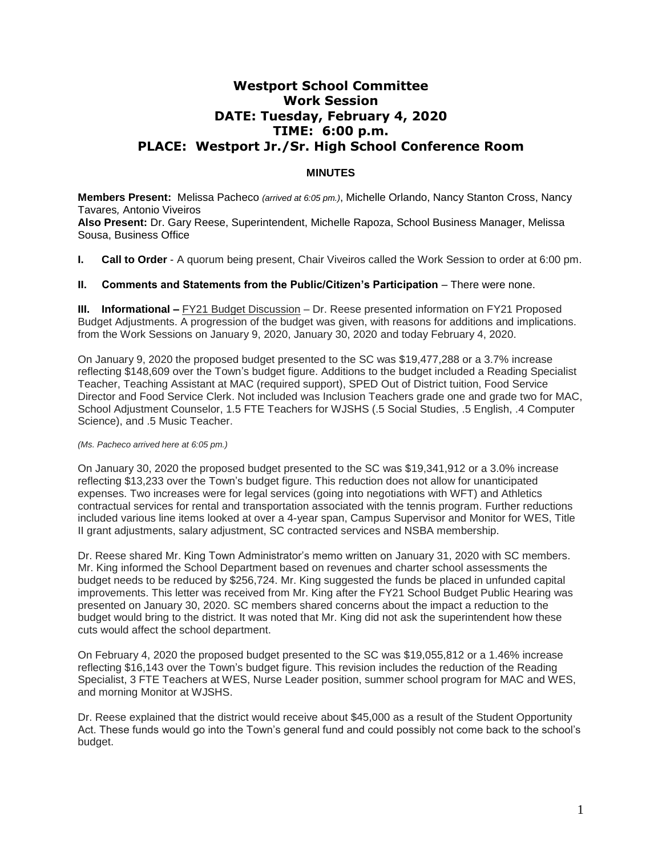## **Westport School Committee Work Session DATE: Tuesday, February 4, 2020 TIME: 6:00 p.m. PLACE: Westport Jr./Sr. High School Conference Room**

## **MINUTES**

**Members Present:** Melissa Pacheco *(arrived at 6:05 pm.)*, Michelle Orlando, Nancy Stanton Cross, Nancy Tavares*,* Antonio Viveiros **Also Present:** Dr. Gary Reese, Superintendent, Michelle Rapoza, School Business Manager, Melissa Sousa, Business Office

**I. Call to Order** - A quorum being present, Chair Viveiros called the Work Session to order at 6:00 pm.

## **II. Comments and Statements from the Public/Citizen's Participation** – There were none.

**III.** Informational – FY21 Budget Discussion – Dr. Reese presented information on FY21 Proposed Budget Adjustments. A progression of the budget was given, with reasons for additions and implications. from the Work Sessions on January 9, 2020, January 30, 2020 and today February 4, 2020.

On January 9, 2020 the proposed budget presented to the SC was \$19,477,288 or a 3.7% increase reflecting \$148,609 over the Town's budget figure. Additions to the budget included a Reading Specialist Teacher, Teaching Assistant at MAC (required support), SPED Out of District tuition, Food Service Director and Food Service Clerk. Not included was Inclusion Teachers grade one and grade two for MAC, School Adjustment Counselor, 1.5 FTE Teachers for WJSHS (.5 Social Studies, .5 English, .4 Computer Science), and .5 Music Teacher.

## *(Ms. Pacheco arrived here at 6:05 pm.)*

On January 30, 2020 the proposed budget presented to the SC was \$19,341,912 or a 3.0% increase reflecting \$13,233 over the Town's budget figure. This reduction does not allow for unanticipated expenses. Two increases were for legal services (going into negotiations with WFT) and Athletics contractual services for rental and transportation associated with the tennis program. Further reductions included various line items looked at over a 4-year span, Campus Supervisor and Monitor for WES, Title II grant adjustments, salary adjustment, SC contracted services and NSBA membership.

Dr. Reese shared Mr. King Town Administrator's memo written on January 31, 2020 with SC members. Mr. King informed the School Department based on revenues and charter school assessments the budget needs to be reduced by \$256,724. Mr. King suggested the funds be placed in unfunded capital improvements. This letter was received from Mr. King after the FY21 School Budget Public Hearing was presented on January 30, 2020. SC members shared concerns about the impact a reduction to the budget would bring to the district. It was noted that Mr. King did not ask the superintendent how these cuts would affect the school department.

On February 4, 2020 the proposed budget presented to the SC was \$19,055,812 or a 1.46% increase reflecting \$16,143 over the Town's budget figure. This revision includes the reduction of the Reading Specialist, 3 FTE Teachers at WES, Nurse Leader position, summer school program for MAC and WES, and morning Monitor at WJSHS.

Dr. Reese explained that the district would receive about \$45,000 as a result of the Student Opportunity Act. These funds would go into the Town's general fund and could possibly not come back to the school's budget.